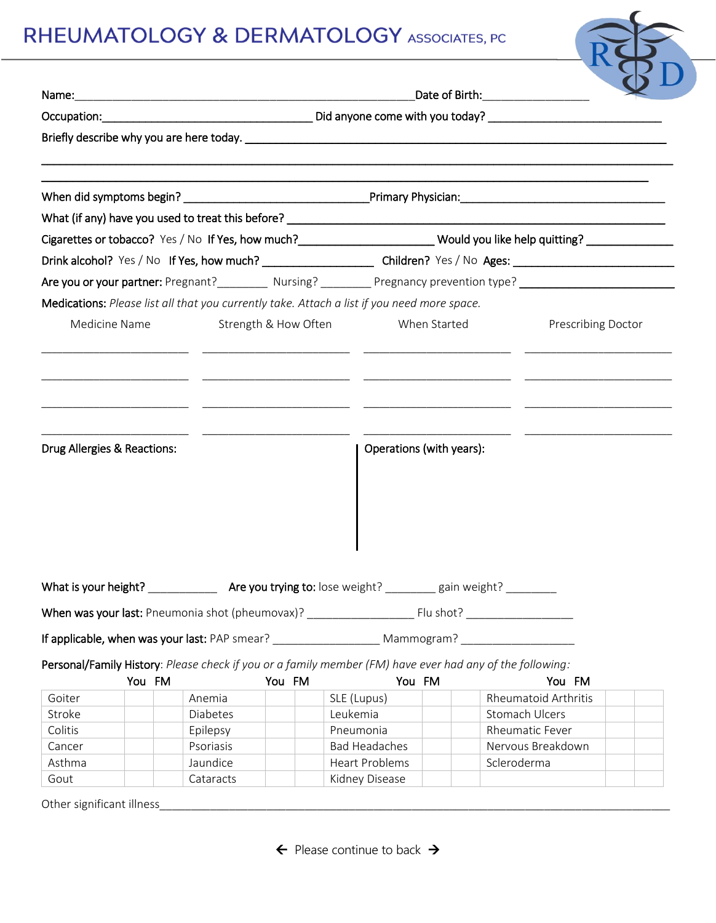## RHEUMATOLOGY & DERMATOLOGY ASSOCIATES, PC

|                             | Are you or your partner: Pregnant?___________ Nursing? __________ Pregnancy prevention type? _______________________ |        |                                               |                                  |                           |  |  |
|-----------------------------|----------------------------------------------------------------------------------------------------------------------|--------|-----------------------------------------------|----------------------------------|---------------------------|--|--|
|                             | Medications: Please list all that you currently take. Attach a list if you need more space.                          |        |                                               |                                  |                           |  |  |
|                             | Medicine Name                                                                                                        |        | Strength & How Often When Started             |                                  | <b>Prescribing Doctor</b> |  |  |
|                             |                                                                                                                      |        | Operations (with years):                      |                                  |                           |  |  |
|                             |                                                                                                                      |        |                                               |                                  |                           |  |  |
| Drug Allergies & Reactions: |                                                                                                                      |        |                                               |                                  |                           |  |  |
|                             | If applicable, when was your last: PAP smear? ______________________ Mammogram? ____________________                 |        |                                               |                                  |                           |  |  |
|                             | Personal/Family History: Please check if you or a family member (FM) have ever had any of the following:             |        |                                               | You FM                           |                           |  |  |
| Goiter                      | You FM<br>Anemia                                                                                                     | You FM | You FM<br>SLE (Lupus)                         | <b>Rheumatoid Arthritis</b>      |                           |  |  |
| Stroke                      | Diabetes                                                                                                             |        | Leukemia                                      | Stomach Ulcers                   |                           |  |  |
| Colitis                     | Epilepsy                                                                                                             |        | Pneumonia                                     | Rheumatic Fever                  |                           |  |  |
| Cancer<br>Asthma            | Psoriasis<br>Jaundice                                                                                                |        | <b>Bad Headaches</b><br><b>Heart Problems</b> | Nervous Breakdown<br>Scleroderma |                           |  |  |